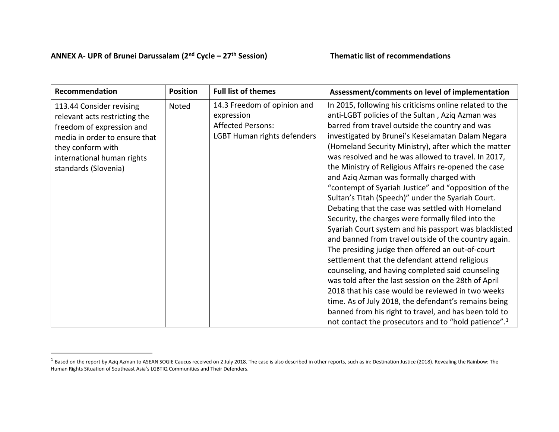## **ANNEX A- UPR of Brunei Darussalam (2nd Cycle – 27th Session) Thematic list of recommendations**

l

| Recommendation                                                                                                                                                                                     | <b>Position</b> | <b>Full list of themes</b>                                                                           | Assessment/comments on level of implementation                                                                                                                                                                                                                                                                                                                                                                                                                                                                                                                                                                                                                                                                                                                                                                                                                                                                                                                                                                                                                                                                                                                                                                                            |
|----------------------------------------------------------------------------------------------------------------------------------------------------------------------------------------------------|-----------------|------------------------------------------------------------------------------------------------------|-------------------------------------------------------------------------------------------------------------------------------------------------------------------------------------------------------------------------------------------------------------------------------------------------------------------------------------------------------------------------------------------------------------------------------------------------------------------------------------------------------------------------------------------------------------------------------------------------------------------------------------------------------------------------------------------------------------------------------------------------------------------------------------------------------------------------------------------------------------------------------------------------------------------------------------------------------------------------------------------------------------------------------------------------------------------------------------------------------------------------------------------------------------------------------------------------------------------------------------------|
| 113.44 Consider revising<br>relevant acts restricting the<br>freedom of expression and<br>media in order to ensure that<br>they conform with<br>international human rights<br>standards (Slovenia) | Noted           | 14.3 Freedom of opinion and<br>expression<br><b>Affected Persons:</b><br>LGBT Human rights defenders | In 2015, following his criticisms online related to the<br>anti-LGBT policies of the Sultan, Aziq Azman was<br>barred from travel outside the country and was<br>investigated by Brunei's Keselamatan Dalam Negara<br>(Homeland Security Ministry), after which the matter<br>was resolved and he was allowed to travel. In 2017,<br>the Ministry of Religious Affairs re-opened the case<br>and Aziq Azman was formally charged with<br>"contempt of Syariah Justice" and "opposition of the<br>Sultan's Titah (Speech)" under the Syariah Court.<br>Debating that the case was settled with Homeland<br>Security, the charges were formally filed into the<br>Syariah Court system and his passport was blacklisted<br>and banned from travel outside of the country again.<br>The presiding judge then offered an out-of-court<br>settlement that the defendant attend religious<br>counseling, and having completed said counseling<br>was told after the last session on the 28th of April<br>2018 that his case would be reviewed in two weeks<br>time. As of July 2018, the defendant's remains being<br>banned from his right to travel, and has been told to<br>not contact the prosecutors and to "hold patience". <sup>1</sup> |

 $^1$  Based on the report by Aziq Azman to ASEAN SOGIE Caucus received on 2 July 2018. The case is also described in other reports, such as in: Destination Justice (2018). Revealing the Rainbow: The Human Rights Situation of Southeast Asia's LGBTIQ Communities and Their Defenders.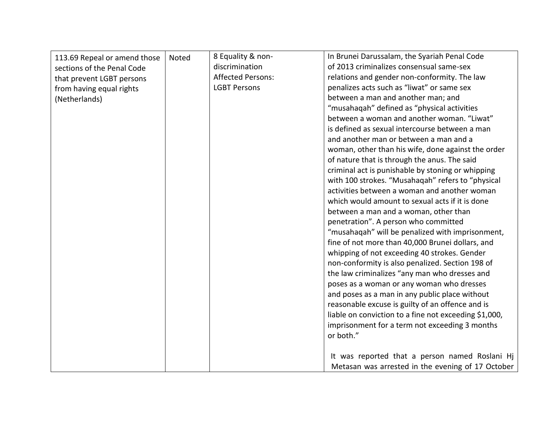| 113.69 Repeal or amend those | Noted | 8 Equality & non-        | In Brunei Darussalam, the Syariah Penal Code          |
|------------------------------|-------|--------------------------|-------------------------------------------------------|
| sections of the Penal Code   |       | discrimination           | of 2013 criminalizes consensual same-sex              |
| that prevent LGBT persons    |       | <b>Affected Persons:</b> | relations and gender non-conformity. The law          |
| from having equal rights     |       | <b>LGBT Persons</b>      | penalizes acts such as "liwat" or same sex            |
|                              |       |                          | between a man and another man; and                    |
| (Netherlands)                |       |                          | "musahaqah" defined as "physical activities           |
|                              |       |                          | between a woman and another woman. "Liwat"            |
|                              |       |                          | is defined as sexual intercourse between a man        |
|                              |       |                          | and another man or between a man and a                |
|                              |       |                          |                                                       |
|                              |       |                          | woman, other than his wife, done against the order    |
|                              |       |                          | of nature that is through the anus. The said          |
|                              |       |                          | criminal act is punishable by stoning or whipping     |
|                              |       |                          | with 100 strokes. "Musahaqah" refers to "physical     |
|                              |       |                          | activities between a woman and another woman          |
|                              |       |                          | which would amount to sexual acts if it is done       |
|                              |       |                          | between a man and a woman, other than                 |
|                              |       |                          | penetration". A person who committed                  |
|                              |       |                          | "musahaqah" will be penalized with imprisonment,      |
|                              |       |                          | fine of not more than 40,000 Brunei dollars, and      |
|                              |       |                          | whipping of not exceeding 40 strokes. Gender          |
|                              |       |                          | non-conformity is also penalized. Section 198 of      |
|                              |       |                          | the law criminalizes "any man who dresses and         |
|                              |       |                          | poses as a woman or any woman who dresses             |
|                              |       |                          | and poses as a man in any public place without        |
|                              |       |                          | reasonable excuse is guilty of an offence and is      |
|                              |       |                          | liable on conviction to a fine not exceeding \$1,000, |
|                              |       |                          | imprisonment for a term not exceeding 3 months        |
|                              |       |                          | or both."                                             |
|                              |       |                          |                                                       |
|                              |       |                          | It was reported that a person named Roslani Hj        |
|                              |       |                          | Metasan was arrested in the evening of 17 October     |